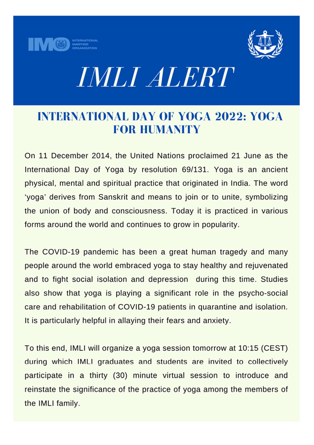



# *IMLI ALERT*

## **INTERNATIONAL DAY OF YOGA 2022: YOGA FOR HUMANITY**

On 11 December 2014, the United Nations proclaimed 21 June as the International Day of Yoga by resolution 69/131. Yoga is an ancient physical, mental and spiritual practice that originated in India. The word 'yoga' derives from Sanskrit and means to join or to unite, symbolizing the union of body and consciousness. Today it is practiced in various forms around the world and continues to grow in popularity.

The COVID-19 pandemic has been a great human tragedy and many people around the world embraced yoga to stay healthy and rejuvenated and to fight social isolation and depression during this time. Studies also show that yoga is playing a significant role in the psycho-social care and rehabilitation of COVID-19 patients in quarantine and isolation. It is particularly helpful in allaying their fears and anxiety.

To this end, IMLI will organize a yoga session tomorrow at 10:15 (CEST) during which IMLI graduates and students are invited to collectively participate in a thirty (30) minute virtual session to introduce and reinstate the significance of the practice of yoga among the members of the IMLI family.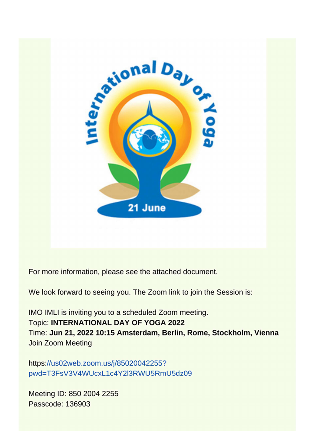

For more information, please see the attached document.

We look forward to seeing you. The Zoom link to join the Session is:

IMO IMLI is inviting you to a scheduled Zoom meeting. **Topic: INTERNATIONAL DAY OF YOGA 2022** Time: Jun 21, 2022 10:15 Amsterdam, Berlin, Rome, Stockholm, Vienna **Join Zoom Meeting** 

https://us02web.zoom.us/j/85020042255? pwd=T3FsV3V4WUcxL1c4Y2l3RWU5RmU5dz09

Meeting ID: 850 2004 2255 Passcode: 136903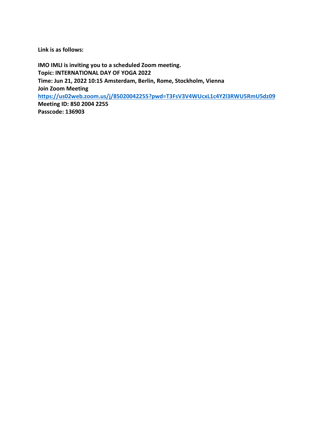Link is as follows:

IMO IMLI is inviting you to a scheduled Zoom meeting. Topic: INTERNATIONAL DAY OF YOGA 2022 Time: Jun 21, 2022 10:15 Amsterdam, Berlin, Rome, Stockholm, Vienna Join Zoom Meeting https://us02web.zoom.us/j/85020042255?pwd=T3FsV3V4WUcxL1c4Y2l3RWU5RmU5dz09 Meeting ID: 850 2004 2255 Passcode: 136903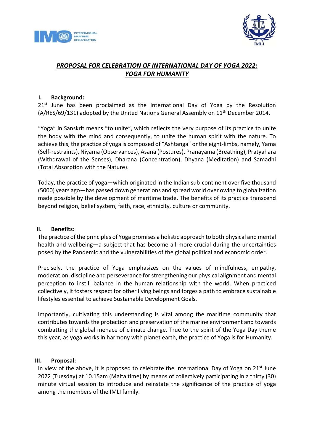



### PROPOSAL FOR CELEBRATION OF INTERNATIONAL DAY OF YOGA 2022: YOGA FOR HUMANITY

#### I. Background:

 $21<sup>st</sup>$  June has been proclaimed as the International Day of Yoga by the Resolution (A/RES/69/131) adopted by the United Nations General Assembly on 11<sup>th</sup> December 2014.

"Yoga" in Sanskrit means "to unite", which reflects the very purpose of its practice to unite the body with the mind and consequently, to unite the human spirit with the nature. To achieve this, the practice of yoga is composed of "Ashtanga" or the eight-limbs, namely, Yama (Self-restraints), Niyama (Observances), Asana (Postures), Pranayama (Breathing), Pratyahara (Withdrawal of the Senses), Dharana (Concentration), Dhyana (Meditation) and Samadhi (Total Absorption with the Nature).

Today, the practice of yoga—which originated in the Indian sub-continent over five thousand (5000) years ago—has passed down generations and spread world over owing to globalization made possible by the development of maritime trade. The benefits of its practice transcend beyond religion, belief system, faith, race, ethnicity, culture or community.

#### II. Benefits:

The practice of the principles of Yoga promises a holistic approach to both physical and mental health and wellbeing—a subject that has become all more crucial during the uncertainties posed by the Pandemic and the vulnerabilities of the global political and economic order.

Precisely, the practice of Yoga emphasizes on the values of mindfulness, empathy, moderation, discipline and perseverance for strengthening our physical alignment and mental perception to instill balance in the human relationship with the world. When practiced collectively, it fosters respect for other living beings and forges a path to embrace sustainable lifestyles essential to achieve Sustainable Development Goals.

Importantly, cultivating this understanding is vital among the maritime community that contributes towards the protection and preservation of the marine environment and towards combatting the global menace of climate change. True to the spirit of the Yoga Day theme this year, as yoga works in harmony with planet earth, the practice of Yoga is for Humanity.

#### III. Proposal:

In view of the above, it is proposed to celebrate the International Day of Yoga on  $21^{st}$  June 2022 (Tuesday) at 10.15am (Malta time) by means of collectively participating in a thirty (30) minute virtual session to introduce and reinstate the significance of the practice of yoga among the members of the IMLI family.